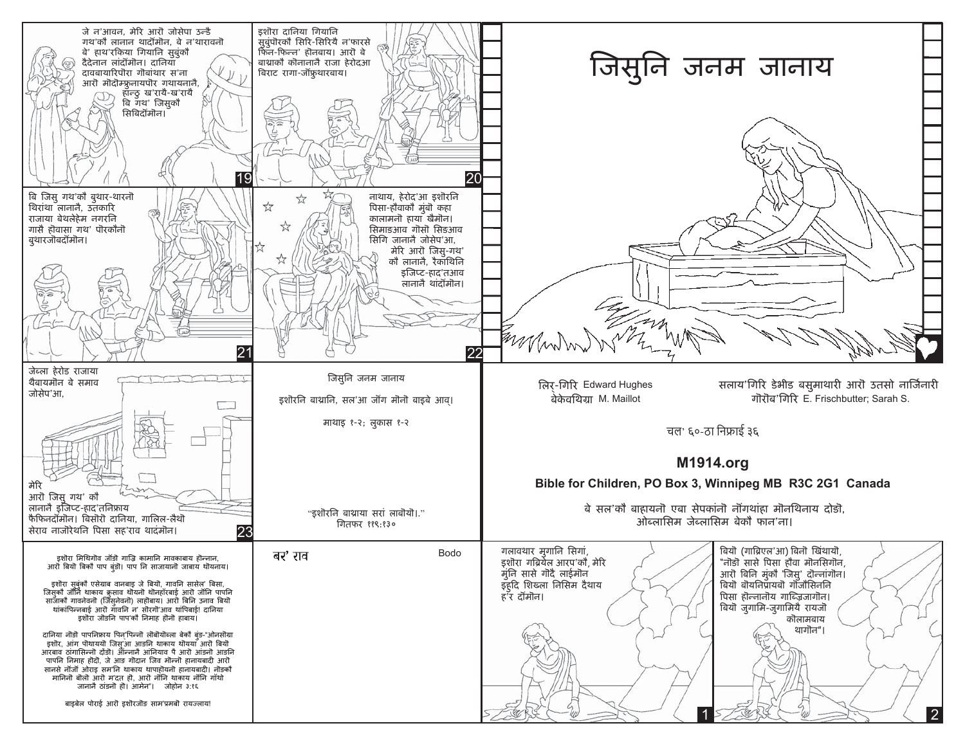